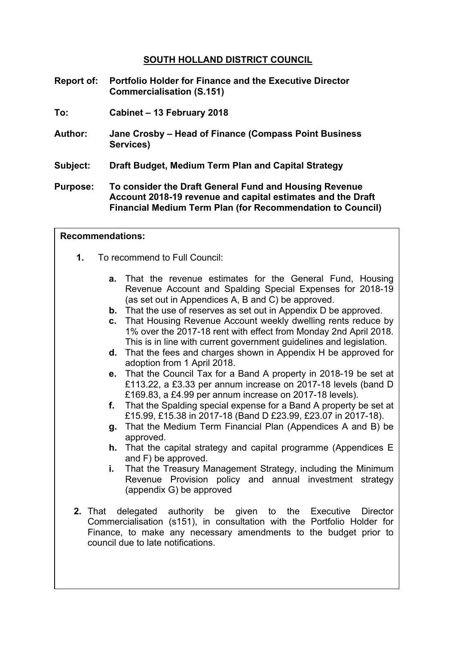## **SOUTH HOLLAND DISTRICT COUNCIL**

- **Report of: Portfolio Holder for Finance and the Executive Director Commercialisation (S.151)**
- **To: Cabinet – 13 February 2018**
- **Author: Jane Crosby – Head of Finance (Compass Point Business Services)**
- **Subject: Draft Budget, Medium Term Plan and Capital Strategy**
- **Purpose: To consider the Draft General Fund and Housing Revenue Account 2018-19 revenue and capital estimates and the Draft Financial Medium Term Plan (for Recommendation to Council)**

#### **Recommendations:**

- **1.** To recommend to Full Council:
	- **a.** That the revenue estimates for the General Fund, Housing Revenue Account and Spalding Special Expenses for 2018-19 (as set out in Appendices A, B and C) be approved.
	- **b.** That the use of reserves as set out in Appendix D be approved.
	- **c.** That Housing Revenue Account weekly dwelling rents reduce by 1% over the 2017-18 rent with effect from Monday 2nd April 2018. This is in line with current government guidelines and legislation.
	- **d.** That the fees and charges shown in Appendix H be approved for adoption from 1 April 2018.
	- **e.** That the Council Tax for a Band A property in 2018-19 be set at £113.22, a £3.33 per annum increase on 2017-18 levels (band D £169.83, a £4.99 per annum increase on 2017-18 levels).
	- **f.** That the Spalding special expense for a Band A property be set at £15.99, £15.38 in 2017-18 (Band D £23.99, £23.07 in 2017-18).
	- **g.** That the Medium Term Financial Plan (Appendices A and B) be approved.
	- **h.** That the capital strategy and capital programme (Appendices E and F) be approved.
	- **i.** That the Treasury Management Strategy, including the Minimum Revenue Provision policy and annual investment strategy (appendix G) be approved
- **2.** That delegated authority be given to the Executive Director Commercialisation (s151), in consultation with the Portfolio Holder for Finance, to make any necessary amendments to the budget prior to council due to late notifications.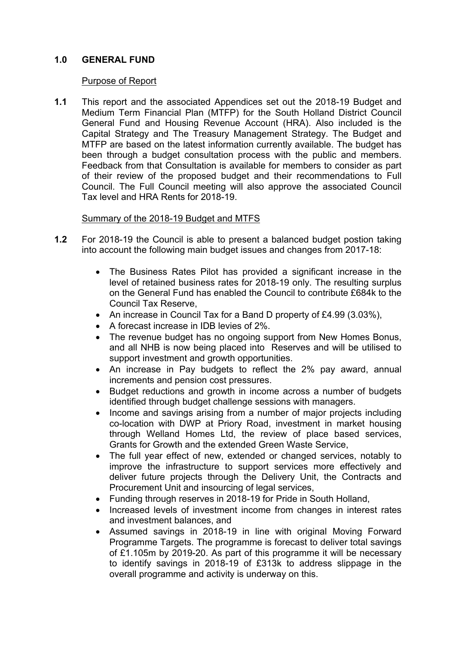## **1.0 GENERAL FUND**

#### Purpose of Report

**1.1** This report and the associated Appendices set out the 2018-19 Budget and Medium Term Financial Plan (MTFP) for the South Holland District Council General Fund and Housing Revenue Account (HRA). Also included is the Capital Strategy and The Treasury Management Strategy. The Budget and MTFP are based on the latest information currently available. The budget has been through a budget consultation process with the public and members. Feedback from that Consultation is available for members to consider as part of their review of the proposed budget and their recommendations to Full Council. The Full Council meeting will also approve the associated Council Tax level and HRA Rents for 2018-19.

## Summary of the 2018-19 Budget and MTFS

- **1.2** For 2018-19 the Council is able to present a balanced budget postion taking into account the following main budget issues and changes from 2017-18:
	- The Business Rates Pilot has provided a significant increase in the level of retained business rates for 2018-19 only. The resulting surplus on the General Fund has enabled the Council to contribute £684k to the Council Tax Reserve,
	- An increase in Council Tax for a Band D property of £4.99 (3.03%),
	- A forecast increase in IDB levies of 2%.
	- The revenue budget has no ongoing support from New Homes Bonus, and all NHB is now being placed into Reserves and will be utilised to support investment and growth opportunities.
	- An increase in Pay budgets to reflect the 2% pay award, annual increments and pension cost pressures.
	- Budget reductions and growth in income across a number of budgets identified through budget challenge sessions with managers.
	- Income and savings arising from a number of major projects including co-location with DWP at Priory Road, investment in market housing through Welland Homes Ltd, the review of place based services, Grants for Growth and the extended Green Waste Service,
	- The full year effect of new, extended or changed services, notably to improve the infrastructure to support services more effectively and deliver future projects through the Delivery Unit, the Contracts and Procurement Unit and insourcing of legal services,
	- Funding through reserves in 2018-19 for Pride in South Holland,
	- Increased levels of investment income from changes in interest rates and investment balances, and
	- Assumed savings in 2018-19 in line with original Moving Forward Programme Targets. The programme is forecast to deliver total savings of £1.105m by 2019-20. As part of this programme it will be necessary to identify savings in 2018-19 of £313k to address slippage in the overall programme and activity is underway on this.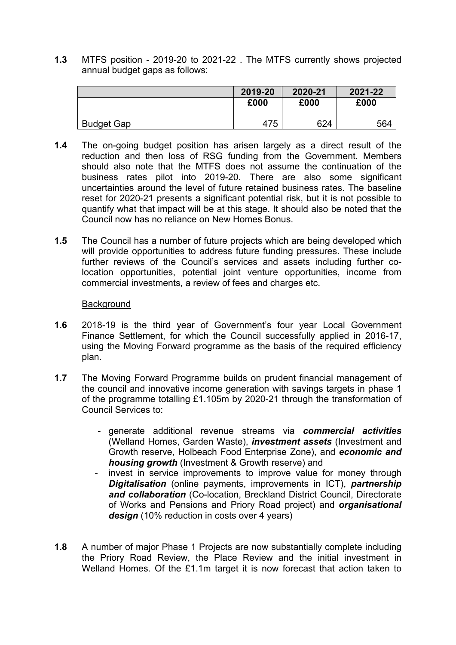**1.3** MTFS position - 2019-20 to 2021-22 . The MTFS currently shows projected annual budget gaps as follows:

|                   | 2019-20 | 2020-21 | 2021-22 |
|-------------------|---------|---------|---------|
|                   | £000    | £000    | £000    |
|                   |         |         |         |
| <b>Budget Gap</b> | 475     | 624     | 564     |

- **1.4** The on-going budget position has arisen largely as a direct result of the reduction and then loss of RSG funding from the Government. Members should also note that the MTFS does not assume the continuation of the business rates pilot into 2019-20. There are also some significant uncertainties around the level of future retained business rates. The baseline reset for 2020-21 presents a significant potential risk, but it is not possible to quantify what that impact will be at this stage. It should also be noted that the Council now has no reliance on New Homes Bonus.
- **1.5** The Council has a number of future projects which are being developed which will provide opportunities to address future funding pressures. These include further reviews of the Council's services and assets including further colocation opportunities, potential joint venture opportunities, income from commercial investments, a review of fees and charges etc.

#### **Background**

- **1.6** 2018-19 is the third year of Government's four year Local Government Finance Settlement, for which the Council successfully applied in 2016-17, using the Moving Forward programme as the basis of the required efficiency plan.
- **1.7** The Moving Forward Programme builds on prudent financial management of the council and innovative income generation with savings targets in phase 1 of the programme totalling £1.105m by 2020-21 through the transformation of Council Services to:
	- generate additional revenue streams via *commercial activities* (Welland Homes, Garden Waste), *investment assets* (Investment and Growth reserve, Holbeach Food Enterprise Zone), and *economic and housing growth* (Investment & Growth reserve) and
	- invest in service improvements to improve value for money through *Digitalisation* (online payments, improvements in ICT), *partnership and collaboration* (Co-location, Breckland District Council, Directorate of Works and Pensions and Priory Road project) and *organisational design* (10% reduction in costs over 4 years)
- **1.8** A number of major Phase 1 Projects are now substantially complete including the Priory Road Review, the Place Review and the initial investment in Welland Homes. Of the £1.1m target it is now forecast that action taken to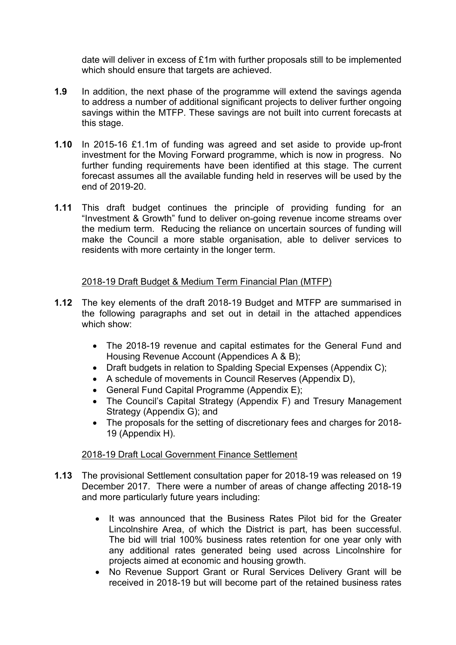date will deliver in excess of £1m with further proposals still to be implemented which should ensure that targets are achieved.

- **1.9** In addition, the next phase of the programme will extend the savings agenda to address a number of additional significant projects to deliver further ongoing savings within the MTFP. These savings are not built into current forecasts at this stage.
- **1.10** In 2015-16 £1.1m of funding was agreed and set aside to provide up-front investment for the Moving Forward programme, which is now in progress. No further funding requirements have been identified at this stage. The current forecast assumes all the available funding held in reserves will be used by the end of 2019-20.
- **1.11** This draft budget continues the principle of providing funding for an "Investment & Growth" fund to deliver on-going revenue income streams over the medium term. Reducing the reliance on uncertain sources of funding will make the Council a more stable organisation, able to deliver services to residents with more certainty in the longer term.

## 2018-19 Draft Budget & Medium Term Financial Plan (MTFP)

- **1.12** The key elements of the draft 2018-19 Budget and MTFP are summarised in the following paragraphs and set out in detail in the attached appendices which show:
	- The 2018-19 revenue and capital estimates for the General Fund and Housing Revenue Account (Appendices A & B);
	- Draft budgets in relation to Spalding Special Expenses (Appendix C);
	- A schedule of movements in Council Reserves (Appendix D),
	- General Fund Capital Programme (Appendix E):
	- The Council's Capital Strategy (Appendix F) and Tresury Management Strategy (Appendix G); and
	- The proposals for the setting of discretionary fees and charges for 2018-19 (Appendix H).

# 2018-19 Draft Local Government Finance Settlement

- **1.13** The provisional Settlement consultation paper for 2018-19 was released on 19 December 2017. There were a number of areas of change affecting 2018-19 and more particularly future years including:
	- It was announced that the Business Rates Pilot bid for the Greater Lincolnshire Area, of which the District is part, has been successful. The bid will trial 100% business rates retention for one year only with any additional rates generated being used across Lincolnshire for projects aimed at economic and housing growth.
	- No Revenue Support Grant or Rural Services Delivery Grant will be received in 2018-19 but will become part of the retained business rates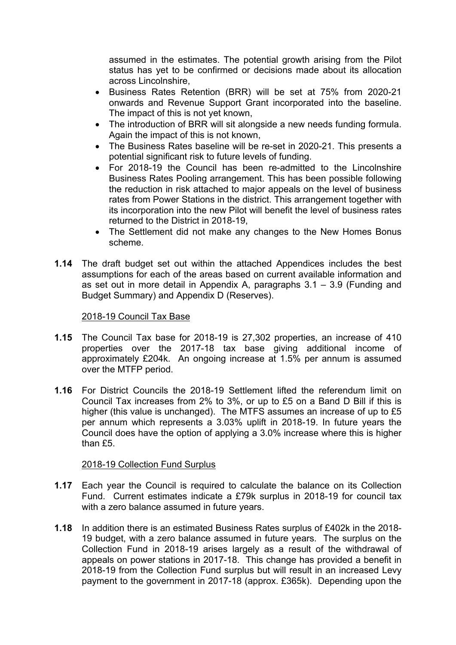assumed in the estimates. The potential growth arising from the Pilot status has yet to be confirmed or decisions made about its allocation across Lincolnshire,

- Business Rates Retention (BRR) will be set at 75% from 2020-21 onwards and Revenue Support Grant incorporated into the baseline. The impact of this is not yet known,
- The introduction of BRR will sit alongside a new needs funding formula. Again the impact of this is not known,
- The Business Rates baseline will be re-set in 2020-21. This presents a potential significant risk to future levels of funding.
- For 2018-19 the Council has been re-admitted to the Lincolnshire Business Rates Pooling arrangement. This has been possible following the reduction in risk attached to major appeals on the level of business rates from Power Stations in the district. This arrangement together with its incorporation into the new Pilot will benefit the level of business rates returned to the District in 2018-19,
- The Settlement did not make any changes to the New Homes Bonus scheme.
- **1.14** The draft budget set out within the attached Appendices includes the best assumptions for each of the areas based on current available information and as set out in more detail in Appendix A, paragraphs 3.1 – 3.9 (Funding and Budget Summary) and Appendix D (Reserves).

#### 2018-19 Council Tax Base

- **1.15** The Council Tax base for 2018-19 is 27,302 properties, an increase of 410 properties over the 2017-18 tax base giving additional income of approximately £204k. An ongoing increase at 1.5% per annum is assumed over the MTFP period.
- **1.16** For District Councils the 2018-19 Settlement lifted the referendum limit on Council Tax increases from 2% to 3%, or up to £5 on a Band D Bill if this is higher (this value is unchanged). The MTFS assumes an increase of up to £5 per annum which represents a 3.03% uplift in 2018-19. In future years the Council does have the option of applying a 3.0% increase where this is higher than  $f5$

#### 2018-19 Collection Fund Surplus

- **1.17** Each year the Council is required to calculate the balance on its Collection Fund. Current estimates indicate a £79k surplus in 2018-19 for council tax with a zero balance assumed in future years.
- **1.18** In addition there is an estimated Business Rates surplus of £402k in the 2018- 19 budget, with a zero balance assumed in future years. The surplus on the Collection Fund in 2018-19 arises largely as a result of the withdrawal of appeals on power stations in 2017-18. This change has provided a benefit in 2018-19 from the Collection Fund surplus but will result in an increased Levy payment to the government in 2017-18 (approx. £365k). Depending upon the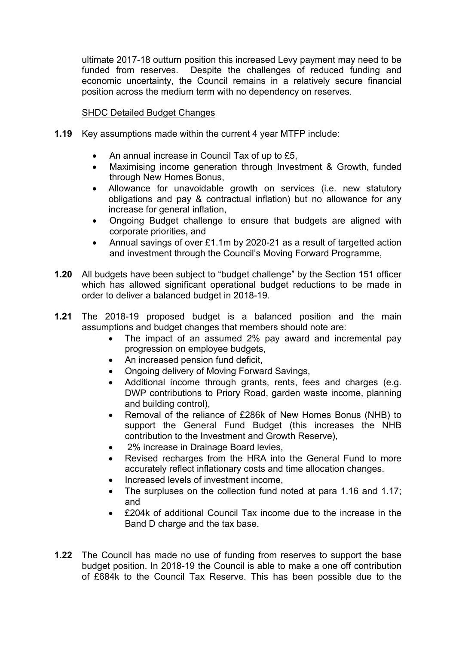ultimate 2017-18 outturn position this increased Levy payment may need to be funded from reserves. Despite the challenges of reduced funding and economic uncertainty, the Council remains in a relatively secure financial position across the medium term with no dependency on reserves.

#### SHDC Detailed Budget Changes

- **1.19** Key assumptions made within the current 4 year MTFP include:
	- An annual increase in Council Tax of up to £5,
	- Maximising income generation through Investment & Growth, funded through New Homes Bonus,
	- Allowance for unavoidable growth on services (i.e. new statutory obligations and pay & contractual inflation) but no allowance for any increase for general inflation,
	- Ongoing Budget challenge to ensure that budgets are aligned with corporate priorities, and
	- Annual savings of over £1.1m by 2020-21 as a result of targetted action and investment through the Council's Moving Forward Programme,
- **1.20** All budgets have been subject to "budget challenge" by the Section 151 officer which has allowed significant operational budget reductions to be made in order to deliver a balanced budget in 2018-19.
- **1.21** The 2018-19 proposed budget is a balanced position and the main assumptions and budget changes that members should note are:
	- The impact of an assumed 2% pay award and incremental pay progression on employee budgets,
	- An increased pension fund deficit,
	- Ongoing delivery of Moving Forward Savings,
	- Additional income through grants, rents, fees and charges (e.g. DWP contributions to Priory Road, garden waste income, planning and building control),
	- Removal of the reliance of £286k of New Homes Bonus (NHB) to support the General Fund Budget (this increases the NHB contribution to the Investment and Growth Reserve),
	- 2% increase in Drainage Board levies,
	- Revised recharges from the HRA into the General Fund to more accurately reflect inflationary costs and time allocation changes.
	- Increased levels of investment income,
	- The surpluses on the collection fund noted at para 1.16 and 1.17; and
	- £204k of additional Council Tax income due to the increase in the Band D charge and the tax base.
- **1.22** The Council has made no use of funding from reserves to support the base budget position. In 2018-19 the Council is able to make a one off contribution of £684k to the Council Tax Reserve. This has been possible due to the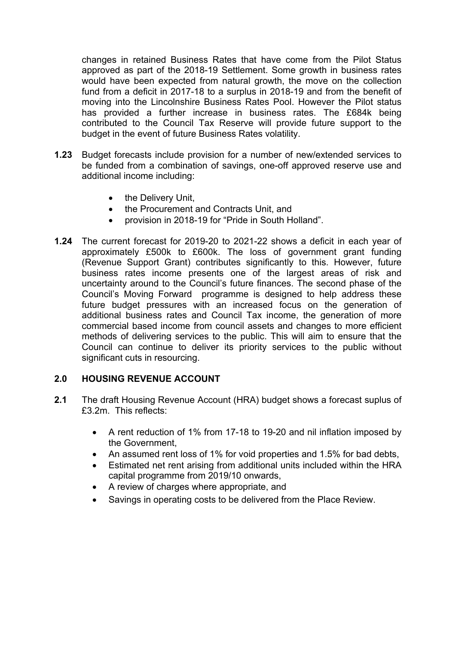changes in retained Business Rates that have come from the Pilot Status approved as part of the 2018-19 Settlement. Some growth in business rates would have been expected from natural growth, the move on the collection fund from a deficit in 2017-18 to a surplus in 2018-19 and from the benefit of moving into the Lincolnshire Business Rates Pool. However the Pilot status has provided a further increase in business rates. The £684k being contributed to the Council Tax Reserve will provide future support to the budget in the event of future Business Rates volatility.

- **1.23** Budget forecasts include provision for a number of new/extended services to be funded from a combination of savings, one-off approved reserve use and additional income including:
	- the Delivery Unit,
	- the Procurement and Contracts Unit, and
	- provision in 2018-19 for "Pride in South Holland".
- **1.24** The current forecast for 2019-20 to 2021-22 shows a deficit in each year of approximately £500k to £600k. The loss of government grant funding (Revenue Support Grant) contributes significantly to this. However, future business rates income presents one of the largest areas of risk and uncertainty around to the Council's future finances. The second phase of the Council's Moving Forward programme is designed to help address these future budget pressures with an increased focus on the generation of additional business rates and Council Tax income, the generation of more commercial based income from council assets and changes to more efficient methods of delivering services to the public. This will aim to ensure that the Council can continue to deliver its priority services to the public without significant cuts in resourcing.

#### **2.0 HOUSING REVENUE ACCOUNT**

- **2.1** The draft Housing Revenue Account (HRA) budget shows a forecast suplus of £3.2m. This reflects:
	- A rent reduction of 1% from 17-18 to 19-20 and nil inflation imposed by the Government,
	- An assumed rent loss of 1% for void properties and 1.5% for bad debts,
	- Estimated net rent arising from additional units included within the HRA capital programme from 2019/10 onwards,
	- A review of charges where appropriate, and
	- Savings in operating costs to be delivered from the Place Review.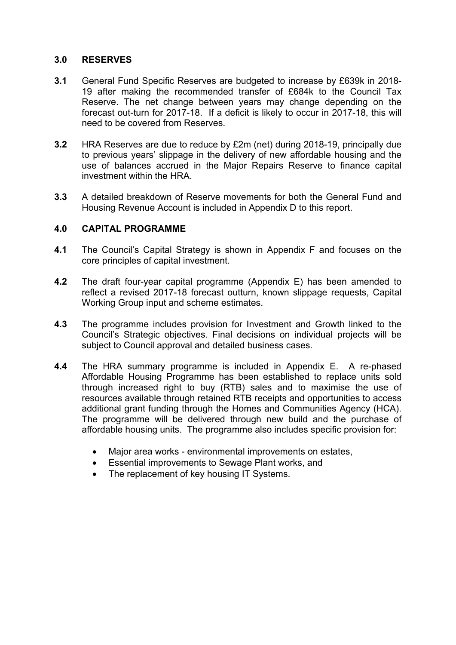#### **3.0 RESERVES**

- **3.1** General Fund Specific Reserves are budgeted to increase by £639k in 2018- 19 after making the recommended transfer of £684k to the Council Tax Reserve. The net change between years may change depending on the forecast out-turn for 2017-18. If a deficit is likely to occur in 2017-18, this will need to be covered from Reserves.
- **3.2** HRA Reserves are due to reduce by £2m (net) during 2018-19, principally due to previous years' slippage in the delivery of new affordable housing and the use of balances accrued in the Major Repairs Reserve to finance capital investment within the HRA.
- **3.3** A detailed breakdown of Reserve movements for both the General Fund and Housing Revenue Account is included in Appendix D to this report.

## **4.0 CAPITAL PROGRAMME**

- **4.1** The Council's Capital Strategy is shown in Appendix F and focuses on the core principles of capital investment.
- **4.2** The draft four-year capital programme (Appendix E) has been amended to reflect a revised 2017-18 forecast outturn, known slippage requests, Capital Working Group input and scheme estimates.
- **4.3** The programme includes provision for Investment and Growth linked to the Council's Strategic objectives. Final decisions on individual projects will be subject to Council approval and detailed business cases.
- **4.4** The HRA summary programme is included in Appendix E. A re-phased Affordable Housing Programme has been established to replace units sold through increased right to buy (RTB) sales and to maximise the use of resources available through retained RTB receipts and opportunities to access additional grant funding through the Homes and Communities Agency (HCA). The programme will be delivered through new build and the purchase of affordable housing units. The programme also includes specific provision for:
	- Major area works environmental improvements on estates,
	- Essential improvements to Sewage Plant works, and
	- The replacement of key housing IT Systems.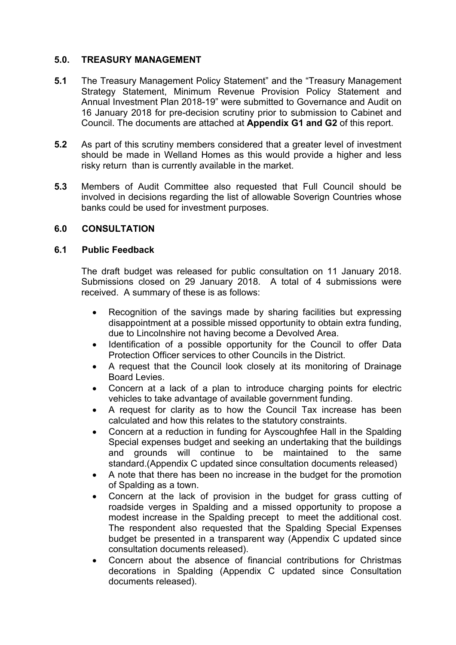#### **5.0. TREASURY MANAGEMENT**

- **5.1** The Treasury Management Policy Statement" and the "Treasury Management Strategy Statement, Minimum Revenue Provision Policy Statement and Annual Investment Plan 2018-19" were submitted to Governance and Audit on 16 January 2018 for pre-decision scrutiny prior to submission to Cabinet and Council. The documents are attached at **Appendix G1 and G2** of this report.
- **5.2** As part of this scrutiny members considered that a greater level of investment should be made in Welland Homes as this would provide a higher and less risky return than is currently available in the market.
- **5.3** Members of Audit Committee also requested that Full Council should be involved in decisions regarding the list of allowable Soverign Countries whose banks could be used for investment purposes.

## **6.0 CONSULTATION**

## **6.1 Public Feedback**

The draft budget was released for public consultation on 11 January 2018. Submissions closed on 29 January 2018. A total of 4 submissions were received. A summary of these is as follows:

- Recognition of the savings made by sharing facilities but expressing disappointment at a possible missed opportunity to obtain extra funding, due to Lincolnshire not having become a Devolved Area.
- Identification of a possible opportunity for the Council to offer Data Protection Officer services to other Councils in the District.
- A request that the Council look closely at its monitoring of Drainage Board Levies.
- Concern at a lack of a plan to introduce charging points for electric vehicles to take advantage of available government funding.
- A request for clarity as to how the Council Tax increase has been calculated and how this relates to the statutory constraints.
- Concern at a reduction in funding for Ayscoughfee Hall in the Spalding Special expenses budget and seeking an undertaking that the buildings and grounds will continue to be maintained to the same standard.(Appendix C updated since consultation documents released)
- A note that there has been no increase in the budget for the promotion of Spalding as a town.
- Concern at the lack of provision in the budget for grass cutting of roadside verges in Spalding and a missed opportunity to propose a modest increase in the Spalding precept to meet the additional cost. The respondent also requested that the Spalding Special Expenses budget be presented in a transparent way (Appendix C updated since consultation documents released).
- Concern about the absence of financial contributions for Christmas decorations in Spalding (Appendix C updated since Consultation documents released).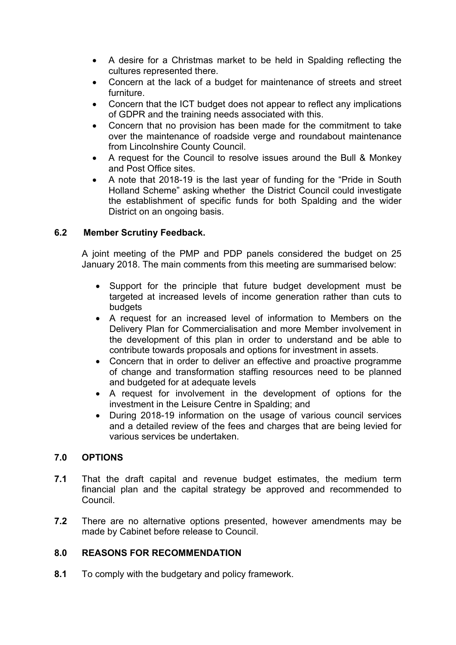- A desire for a Christmas market to be held in Spalding reflecting the cultures represented there.
- Concern at the lack of a budget for maintenance of streets and street furniture.
- Concern that the ICT budget does not appear to reflect any implications of GDPR and the training needs associated with this.
- Concern that no provision has been made for the commitment to take over the maintenance of roadside verge and roundabout maintenance from Lincolnshire County Council.
- A request for the Council to resolve issues around the Bull & Monkey and Post Office sites.
- A note that 2018-19 is the last year of funding for the "Pride in South Holland Scheme" asking whether the District Council could investigate the establishment of specific funds for both Spalding and the wider District on an ongoing basis.

# **6.2 Member Scrutiny Feedback.**

A joint meeting of the PMP and PDP panels considered the budget on 25 January 2018. The main comments from this meeting are summarised below:

- Support for the principle that future budget development must be targeted at increased levels of income generation rather than cuts to budgets
- A request for an increased level of information to Members on the Delivery Plan for Commercialisation and more Member involvement in the development of this plan in order to understand and be able to contribute towards proposals and options for investment in assets.
- Concern that in order to deliver an effective and proactive programme of change and transformation staffing resources need to be planned and budgeted for at adequate levels
- A request for involvement in the development of options for the investment in the Leisure Centre in Spalding; and
- During 2018-19 information on the usage of various council services and a detailed review of the fees and charges that are being levied for various services be undertaken.

# **7.0 OPTIONS**

- **7.1** That the draft capital and revenue budget estimates, the medium term financial plan and the capital strategy be approved and recommended to Council.
- **7.2** There are no alternative options presented, however amendments may be made by Cabinet before release to Council.

# **8.0 REASONS FOR RECOMMENDATION**

**8.1** To comply with the budgetary and policy framework.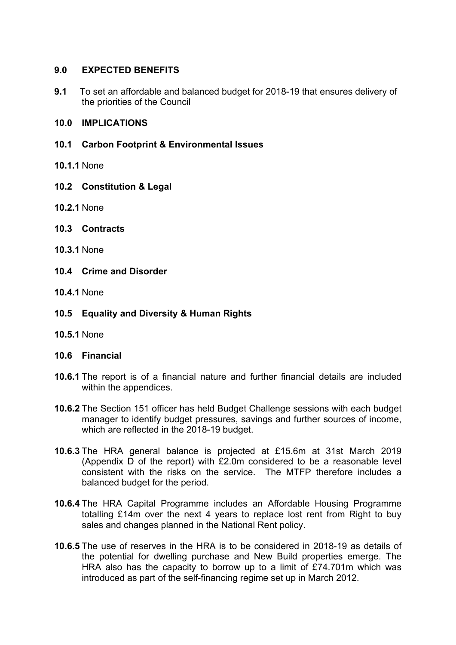## **9.0 EXPECTED BENEFITS**

**9.1** To set an affordable and balanced budget for 2018-19 that ensures delivery of the priorities of the Council

#### **10.0 IMPLICATIONS**

- **10.1 Carbon Footprint & Environmental Issues**
- **10.1.1** None
- **10.2 Constitution & Legal**
- **10.2.1** None
- **10.3 Contracts**
- **10.3.1** None
- **10.4 Crime and Disorder**
- **10.4.1** None
- **10.5 Equality and Diversity & Human Rights**
- **10.5.1** None

#### **10.6 Financial**

- **10.6.1** The report is of a financial nature and further financial details are included within the appendices.
- **10.6.2** The Section 151 officer has held Budget Challenge sessions with each budget manager to identify budget pressures, savings and further sources of income, which are reflected in the 2018-19 budget.
- **10.6.3** The HRA general balance is projected at £15.6m at 31st March 2019 (Appendix D of the report) with £2.0m considered to be a reasonable level consistent with the risks on the service. The MTFP therefore includes a balanced budget for the period.
- **10.6.4** The HRA Capital Programme includes an Affordable Housing Programme totalling £14m over the next 4 years to replace lost rent from Right to buy sales and changes planned in the National Rent policy.
- **10.6.5** The use of reserves in the HRA is to be considered in 2018-19 as details of the potential for dwelling purchase and New Build properties emerge. The HRA also has the capacity to borrow up to a limit of £74.701m which was introduced as part of the self-financing regime set up in March 2012.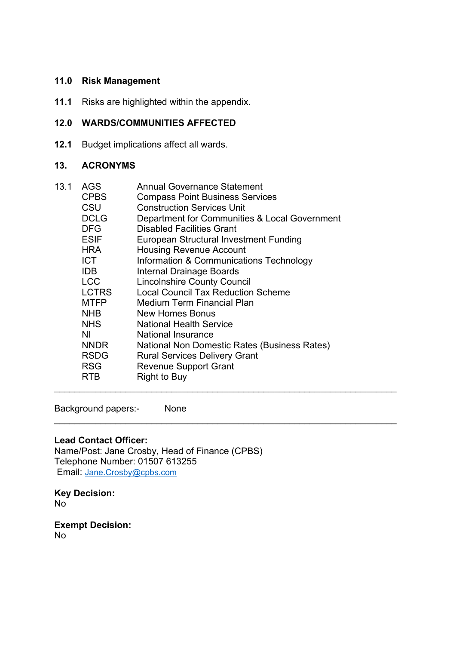# **11.0 Risk Management**

**11.1** Risks are highlighted within the appendix.

## **12.0 WARDS/COMMUNITIES AFFECTED**

**12.1** Budget implications affect all wards.

#### **13. ACRONYMS**

| 13.1 | AGS<br><b>CPBS</b><br>CSU<br><b>DCLG</b><br>DFG<br><b>ESIF</b><br><b>HRA</b><br>ICT<br>IDB.<br><b>LCC</b><br><b>LCTRS</b><br><b>MTFP</b> | <b>Annual Governance Statement</b><br><b>Compass Point Business Services</b><br><b>Construction Services Unit</b><br>Department for Communities & Local Government<br><b>Disabled Facilities Grant</b><br>European Structural Investment Funding<br><b>Housing Revenue Account</b><br>Information & Communications Technology<br>Internal Drainage Boards<br><b>Lincolnshire County Council</b><br><b>Local Council Tax Reduction Scheme</b><br><b>Medium Term Financial Plan</b> |
|------|------------------------------------------------------------------------------------------------------------------------------------------|-----------------------------------------------------------------------------------------------------------------------------------------------------------------------------------------------------------------------------------------------------------------------------------------------------------------------------------------------------------------------------------------------------------------------------------------------------------------------------------|
|      |                                                                                                                                          |                                                                                                                                                                                                                                                                                                                                                                                                                                                                                   |
|      |                                                                                                                                          |                                                                                                                                                                                                                                                                                                                                                                                                                                                                                   |
|      |                                                                                                                                          |                                                                                                                                                                                                                                                                                                                                                                                                                                                                                   |
|      |                                                                                                                                          |                                                                                                                                                                                                                                                                                                                                                                                                                                                                                   |
|      |                                                                                                                                          |                                                                                                                                                                                                                                                                                                                                                                                                                                                                                   |
|      |                                                                                                                                          |                                                                                                                                                                                                                                                                                                                                                                                                                                                                                   |
|      | NHB                                                                                                                                      | New Homes Bonus                                                                                                                                                                                                                                                                                                                                                                                                                                                                   |
|      | NHS.                                                                                                                                     | <b>National Health Service</b>                                                                                                                                                                                                                                                                                                                                                                                                                                                    |
|      | ΝI                                                                                                                                       | <b>National Insurance</b>                                                                                                                                                                                                                                                                                                                                                                                                                                                         |
|      | <b>NNDR</b>                                                                                                                              | National Non Domestic Rates (Business Rates)                                                                                                                                                                                                                                                                                                                                                                                                                                      |
|      | <b>RSDG</b>                                                                                                                              | <b>Rural Services Delivery Grant</b>                                                                                                                                                                                                                                                                                                                                                                                                                                              |
|      | <b>RSG</b>                                                                                                                               | <b>Revenue Support Grant</b>                                                                                                                                                                                                                                                                                                                                                                                                                                                      |
|      | RTB                                                                                                                                      | Right to Buy                                                                                                                                                                                                                                                                                                                                                                                                                                                                      |
|      |                                                                                                                                          |                                                                                                                                                                                                                                                                                                                                                                                                                                                                                   |

 $\_$ 

Background papers:- None

#### **Lead Contact Officer:**

Name/Post: Jane Crosby, Head of Finance (CPBS) Telephone Number: 01507 613255 Email: [Jane.Crosby@cpbs.com](mailto:Jane.Crosby@cpbs.com)

**Key Decision:** No

**Exempt Decision:** No